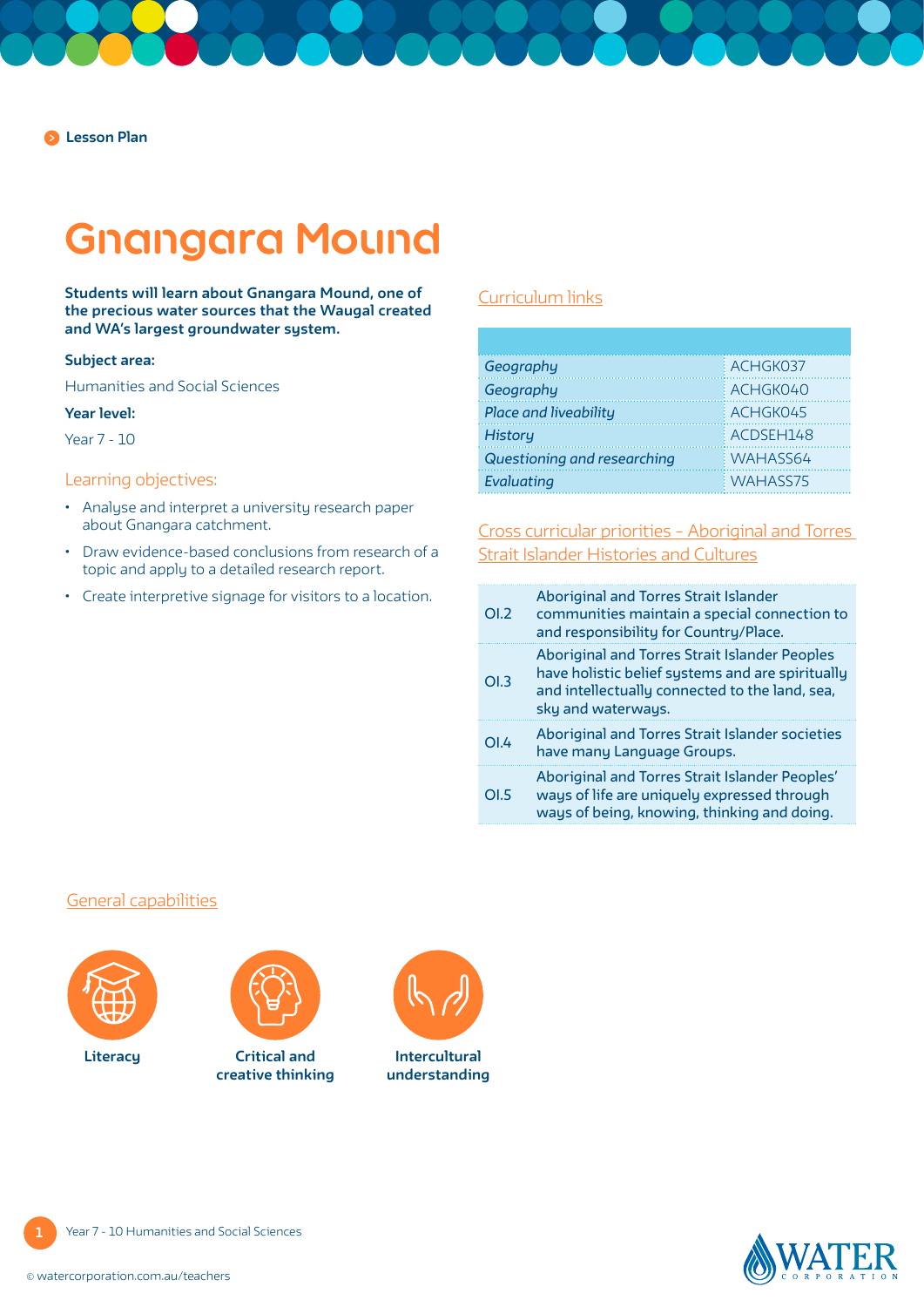## **Gnangara Mound**

**Students will learn about Gnangara Mound, one of the precious water sources that the Waugal created and WA's largest groundwater system.** 

#### **Subject area:**

Humanities and Social Sciences

#### **Year level:**

Year 7 - 10

## Learning objectives:

- Analyse and interpret a university research paper about Gnangara catchment.
- Draw evidence-based conclusions from research of a topic and apply to a detailed research report.
- Create interpretive signage for visitors to a location.

## [Curriculum links](https://k10outline.scsa.wa.edu.au/home/teaching/curriculum-browser/humanities-and-social-sciences)

| Geography                   | ACHGK037  |
|-----------------------------|-----------|
| Geography                   | ACHGK040  |
| Place and liveability       | ACHGK045  |
| <b>History</b>              | ACDSEH148 |
| Questioning and researching | WAHASS64  |
| Evaluating                  | WAHASS75  |

[Cross curricular priorities – Aboriginal and Torres](https://www.australiancurriculum.edu.au/f-10-curriculum/cross-curriculum-priorities/aboriginal-and-torres-strait-islander-histories-and-cultures/)  [Strait Islander Histories and Cultures](https://www.australiancurriculum.edu.au/f-10-curriculum/cross-curriculum-priorities/aboriginal-and-torres-strait-islander-histories-and-cultures/)

| OL2              | <b>Aboriginal and Torres Strait Islander</b><br>communities maintain a special connection to<br>and responsibility for Country/Place.                                            |
|------------------|----------------------------------------------------------------------------------------------------------------------------------------------------------------------------------|
| OL3              | <b>Aboriginal and Torres Strait Islander Peoples</b><br>have holistic belief systems and are spiritually<br>and intellectually connected to the land, sea,<br>sky and waterways. |
| O <sub>1.4</sub> | Aboriginal and Torres Strait Islander societies<br>have many Language Groups.                                                                                                    |
| O <sub>L</sub>   | Aboriginal and Torres Strait Islander Peoples'<br>ways of life are uniquely expressed through<br>ways of being, knowing, thinking and doing.                                     |

#### [General capabilities](https://k10outline.scsa.wa.edu.au/home/teaching/general-capabilities-over/general-capabilities-overview/general-capabilities-in-the-australian-curriculum)





**Critical and creative thinking** Literacy **Intercultural Critical and Intercultural** 



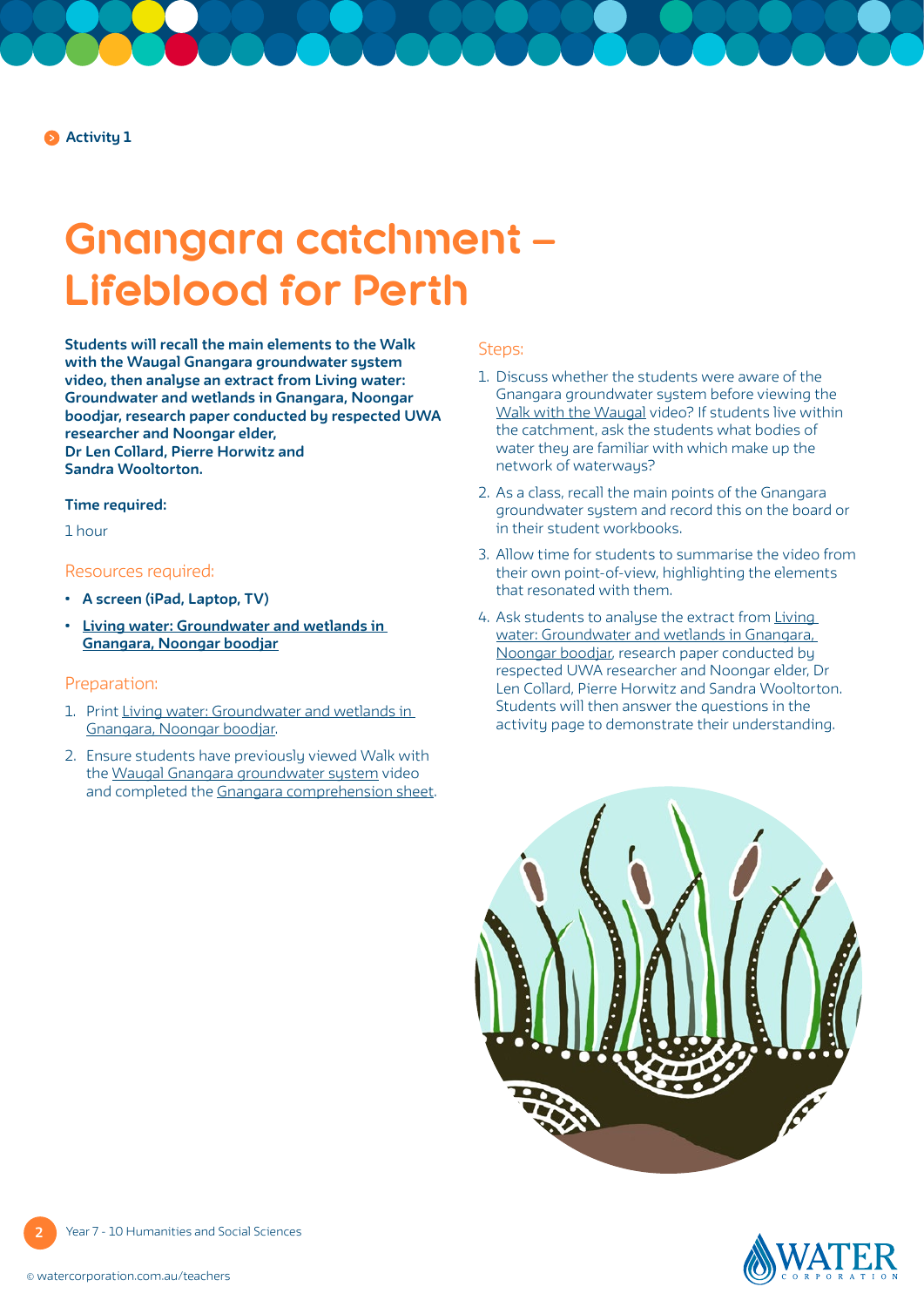## **Gnangara catchment – Lifeblood for Perth**

**Students will recall the main elements to the Walk with the Waugal Gnangara groundwater system video, then analyse an extract from Living water: Groundwater and wetlands in Gnangara, Noongar boodjar, research paper conducted by respected UWA researcher and Noongar elder, Dr Len Collard, Pierre Horwitz and Sandra Wooltorton.** 

#### **Time required:**

1 hour

#### Resources required:

- **• A screen (iPad, Laptop, TV)**
- **• Living water: [Groundwater and wetlands in](#page-4-0)  [Gnangara, Noongar boodjar](#page-4-0)**

## Preparation:

- 1. Print [Living water: Groundwater and wetlands in](#page-4-0)  [Gnangara, Noongar boodjar](#page-4-0).
- 2. Ensure students have previously viewed Walk with the Waugal [Gnangara groundwater system](https://www.watercorporation.com.au/Education/Water-in-Aboriginal-culture/Walk-with-the-Waugal-videos) video and completed the [Gnangara comprehension sheet.](https://pw-cdn.watercorporation.com.au/-/media/WaterCorp/Documents/Education/Water-in-Aboriginal-culture/Comprehension-sheets/Gnangara_Catchment_-_WIAC.pdf?rev=d9a8fff6e08d4bd3b96a7f72cbafcf9b)

### Steps:

- 1. Discuss whether the students were aware of the Gnangara groundwater system before viewing the [Walk with the Waugal video](https://www.watercorporation.com.au/Education/Water-in-Aboriginal-culture/Walk-with-the-Waugal-videos)? If students live within the catchment, ask the students what bodies of water they are familiar with which make up the network of waterways?
- 2. As a class, recall the main points of the Gnangara groundwater system and record this on the board or in their student workbooks.
- 3. Allow time for students to summarise the video from their own point-of-view, highlighting the elements that resonated with them.
- 4. Ask students to analyse the extract from [Living](#page-4-0)  [water: Groundwater and wetlands in Gnangara,](#page-4-0)  [Noongar boodjar](#page-4-0), research paper conducted by respected UWA researcher and Noongar elder, Dr Len Collard, Pierre Horwitz and Sandra Wooltorton. Students will then answer the questions in the activity page to demonstrate their understanding.



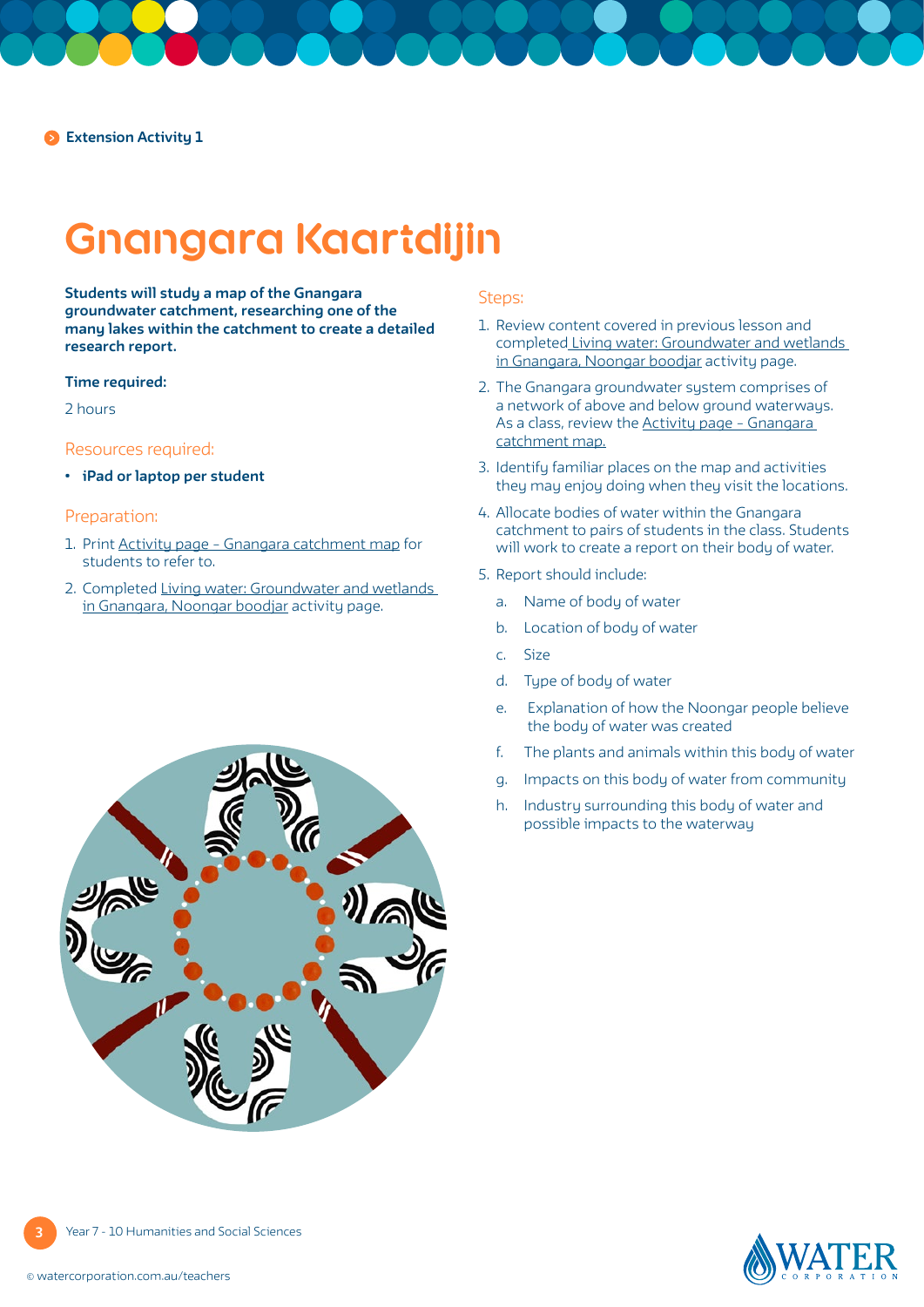# **Gnangara Kaartdijin**

**Students will study a map of the Gnangara groundwater catchment, researching one of the many lakes within the catchment to create a detailed research report.**

#### **Time required:**

2 hours

### Resources required:

**• iPad or laptop per student**

#### Preparation:

- 1. Print [Activity page Gnangara catchment map](#page-7-0) for students to refer to.
- 2. Completed [Living water: Groundwater and wetlands](#page-4-0)  [in Gnangara, Noongar boodjar](#page-4-0) activity page.

#### Steps:

- 1. Review content covered in previous lesson and completed [Living water: Groundwater and wetlands](#page-4-0)  [in Gnangara, Noongar boodjar](#page-4-0) activity page.
- 2. The Gnangara groundwater system comprises of a network of above and below ground waterways. As a class, review the [Activity page – Gnangara](#page-7-0)  [catchment map.](#page-7-0)
- 3. Identify familiar places on the map and activities they may enjoy doing when they visit the locations.
- 4. Allocate bodies of water within the Gnangara catchment to pairs of students in the class. Students will work to create a report on their body of water.
- 5. Report should include:
	- a. Name of body of water
	- b. Location of body of water
	- c. Size
	- d. Type of body of water
	- e. Explanation of how the Noongar people believe the body of water was created
	- f. The plants and animals within this body of water
	- g. Impacts on this body of water from community
	- h. Industry surrounding this body of water and possible impacts to the waterway



Year 7 - 10 Humanities and Social Sciences

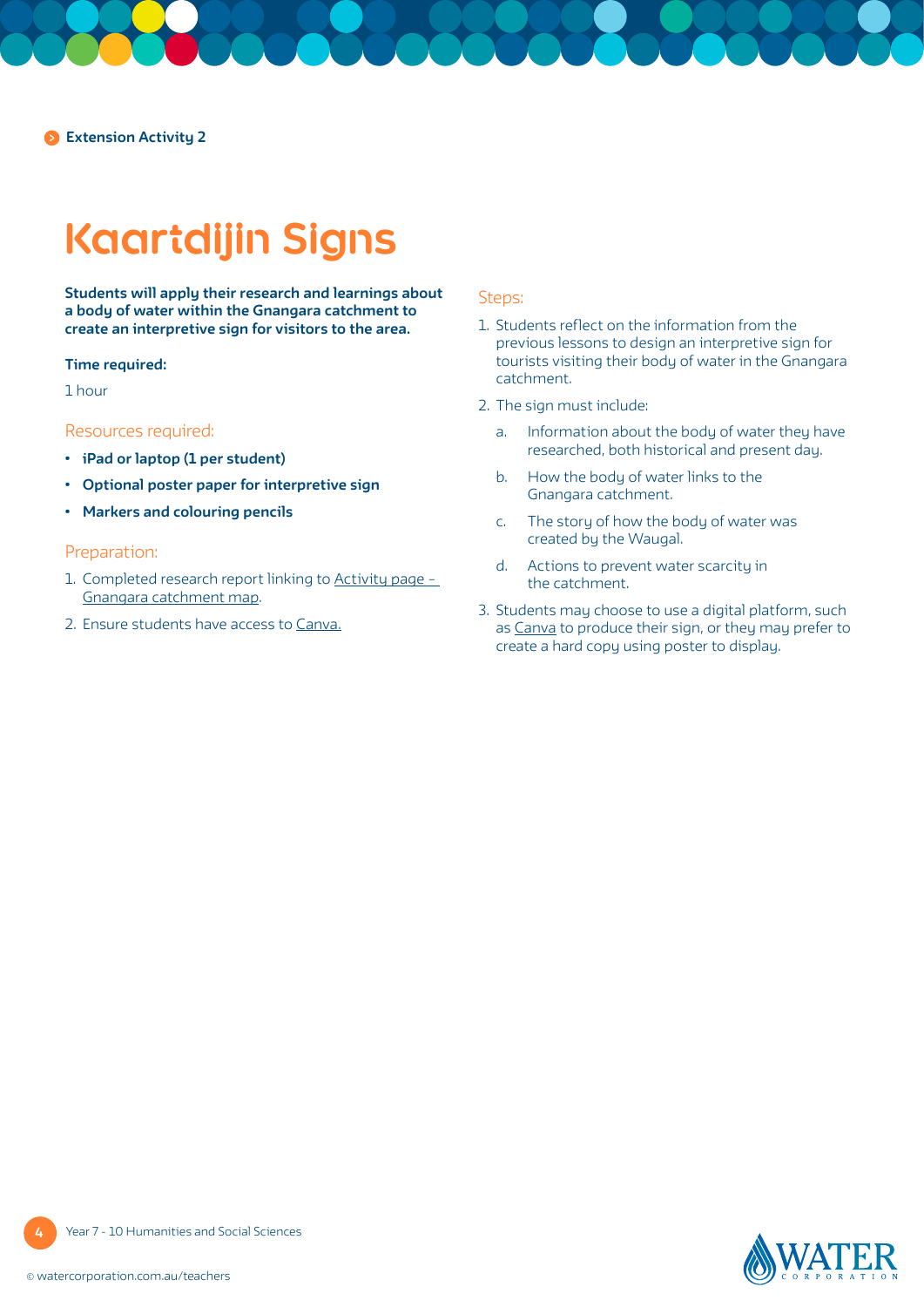**Extension Activity 2**

# **Kaartdijin Signs**

**Students will apply their research and learnings about a body of water within the Gnangara catchment to create an interpretive sign for visitors to the area.**

#### **Time required:**

1 hour

### Resources required:

- **• iPad or laptop (1 per student)**
- **• Optional poster paper for interpretive sign**
- **• Markers and colouring pencils**

#### Preparation:

- 1. Completed research report linking to [Activity page](#page-7-0)  [Gnangara catchment map.](#page-7-0)
- 2. Ensure students have access to [Canva.](https://www.canva.com/en_au/)

## Steps:

- 1. Students reflect on the information from the previous lessons to design an interpretive sign for tourists visiting their body of water in the Gnangara catchment.
- 2. The sign must include:
	- a. Information about the body of water they have researched, both historical and present day.
	- b. How the body of water links to the Gnangara catchment.
	- c. The story of how the body of water was created by the Waugal.
	- d. Actions to prevent water scarcity in the catchment.
- 3. Students may choose to use a digital platform, such as [Canva](https://www.canva.com/en_au/) to produce their sign, or they may prefer to create a hard copy using poster to display.

Year 7 - 10 Humanities and Social Sciences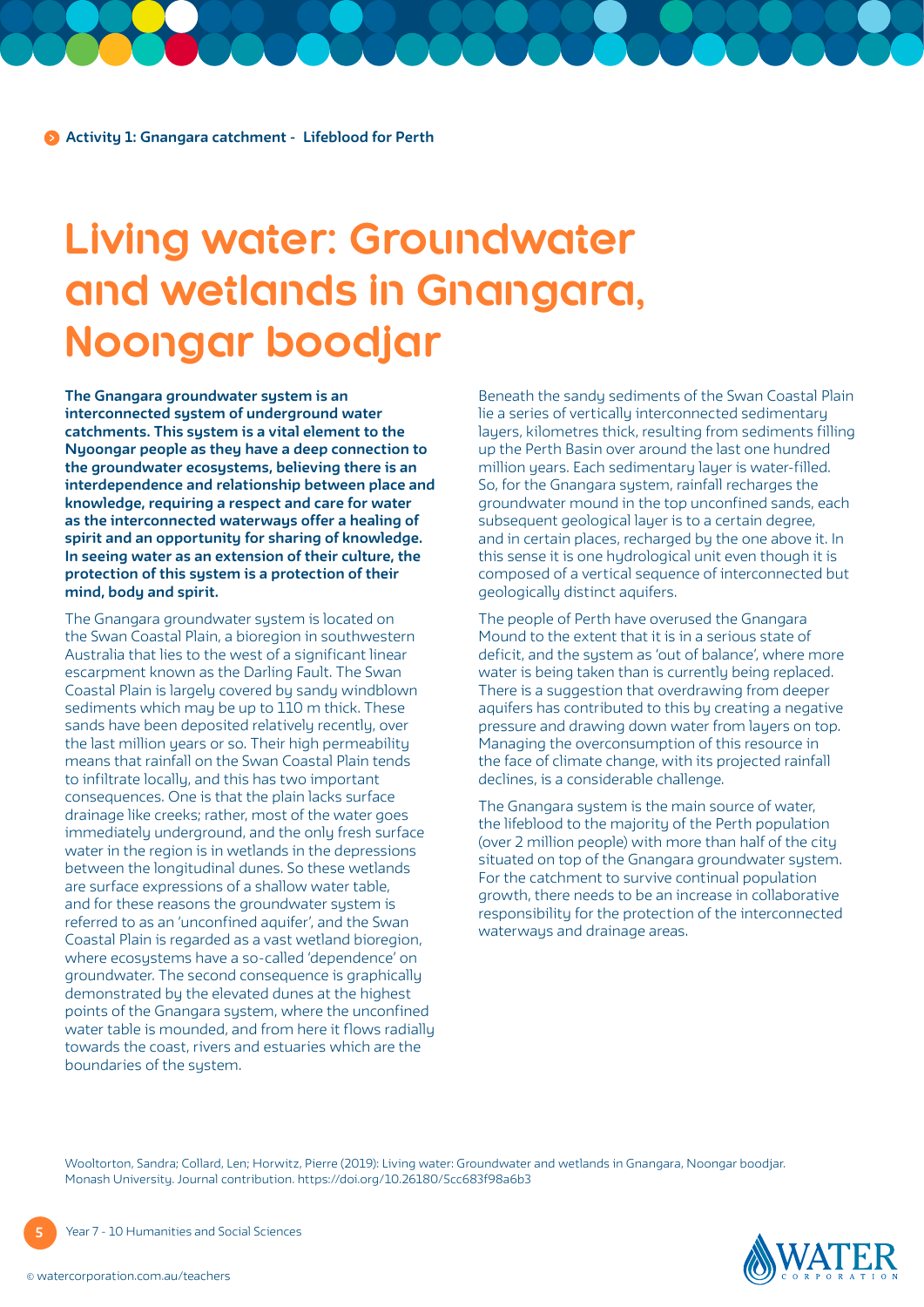## <span id="page-4-0"></span>**Living water: Groundwater and wetlands in Gnangara, Noongar boodjar**

**The Gnangara groundwater system is an interconnected system of underground water catchments. This system is a vital element to the Nyoongar people as they have a deep connection to the groundwater ecosystems, believing there is an interdependence and relationship between place and knowledge, requiring a respect and care for water as the interconnected waterways offer a healing of spirit and an opportunity for sharing of knowledge. In seeing water as an extension of their culture, the protection of this system is a protection of their mind, body and spirit.**

The Gnangara groundwater system is located on the Swan Coastal Plain, a bioregion in southwestern Australia that lies to the west of a significant linear escarpment known as the Darling Fault. The Swan Coastal Plain is largely covered by sandy windblown sediments which may be up to 110 m thick. These sands have been deposited relatively recently, over the last million years or so. Their high permeability means that rainfall on the Swan Coastal Plain tends to infiltrate locally, and this has two important consequences. One is that the plain lacks surface drainage like creeks; rather, most of the water goes immediately underground, and the only fresh surface water in the region is in wetlands in the depressions between the longitudinal dunes. So these wetlands are surface expressions of a shallow water table, and for these reasons the groundwater system is referred to as an 'unconfined aquifer', and the Swan Coastal Plain is regarded as a vast wetland bioregion, where ecosystems have a so-called 'dependence' on groundwater. The second consequence is graphically demonstrated by the elevated dunes at the highest points of the Gnangara system, where the unconfined water table is mounded, and from here it flows radially towards the coast, rivers and estuaries which are the boundaries of the system.

Beneath the sandy sediments of the Swan Coastal Plain lie a series of vertically interconnected sedimentary layers, kilometres thick, resulting from sediments filling up the Perth Basin over around the last one hundred million years. Each sedimentary layer is water-filled. So, for the Gnangara system, rainfall recharges the groundwater mound in the top unconfined sands, each subsequent geological layer is to a certain degree, and in certain places, recharged by the one above it. In this sense it is one hydrological unit even though it is composed of a vertical sequence of interconnected but geologically distinct aquifers.

The people of Perth have overused the Gnangara Mound to the extent that it is in a serious state of deficit, and the system as 'out of balance', where more water is being taken than is currently being replaced. There is a suggestion that overdrawing from deeper aquifers has contributed to this by creating a negative pressure and drawing down water from layers on top. Managing the overconsumption of this resource in the face of climate change, with its projected rainfall declines, is a considerable challenge.

The Gnangara system is the main source of water, the lifeblood to the majority of the Perth population (over 2 million people) with more than half of the city situated on top of the Gnangara groundwater system. For the catchment to survive continual population growth, there needs to be an increase in collaborative responsibility for the protection of the interconnected waterways and drainage areas.

Wooltorton, Sandra; Collard, Len; Horwitz, Pierre (2019): Living water: Groundwater and wetlands in Gnangara, Noongar boodjar. Monash University. Journal contribution. https://doi.org/10.26180/5cc683f98a6b3

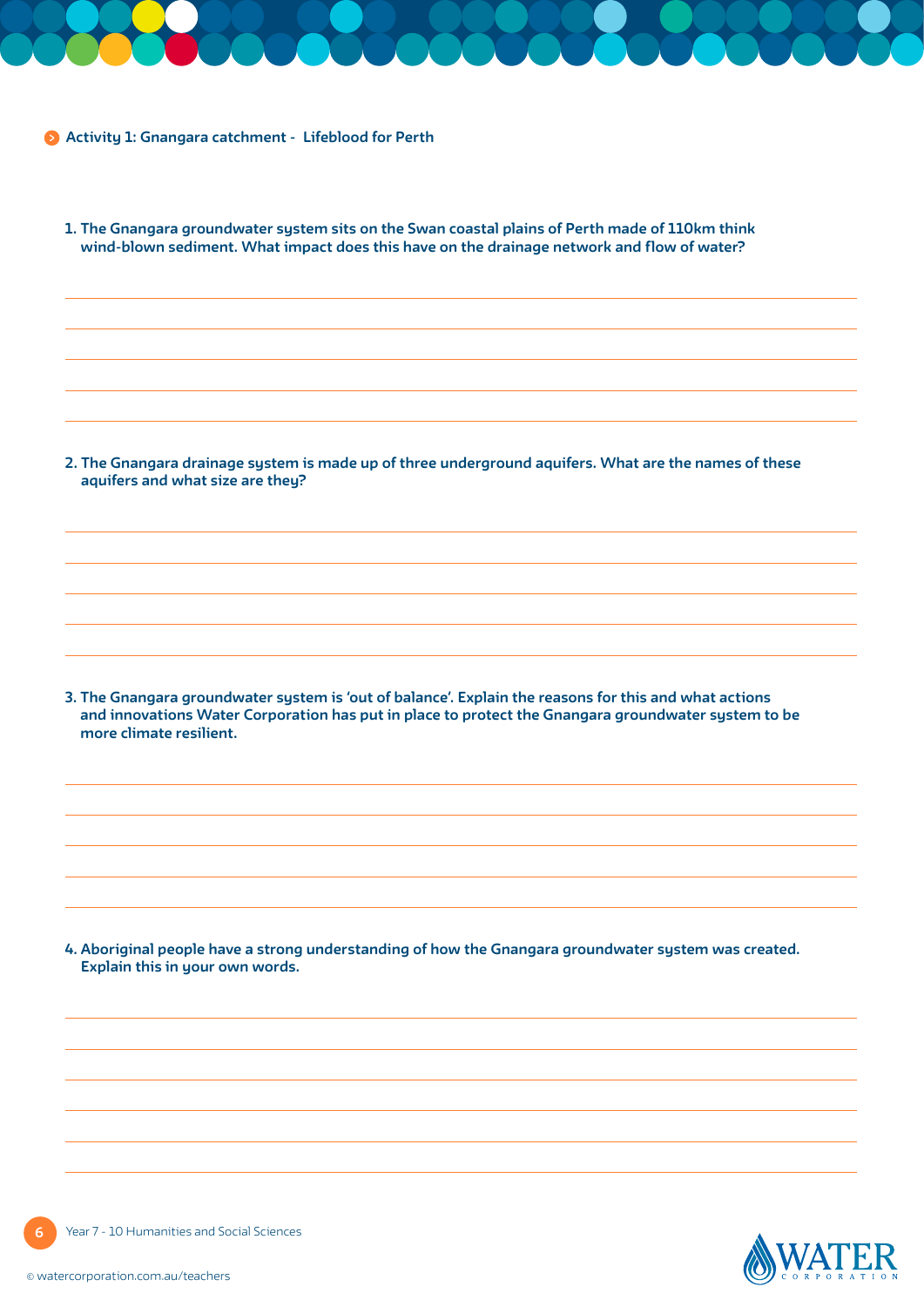**Activity 1: Gnangara catchment - Lifeblood for Perth**

|                         | 2. The Gnangara drainage system is made up of three underground aquifers. What are the names of these<br>aquifers and what size are they?                                                                    |
|-------------------------|--------------------------------------------------------------------------------------------------------------------------------------------------------------------------------------------------------------|
|                         |                                                                                                                                                                                                              |
|                         |                                                                                                                                                                                                              |
|                         |                                                                                                                                                                                                              |
|                         |                                                                                                                                                                                                              |
|                         |                                                                                                                                                                                                              |
|                         | 3. The Gnangara groundwater system is 'out of balance'. Explain the reasons for this and what actions<br>and innovations Water Corporation has put in place to protect the Gnangara groundwater system to be |
|                         |                                                                                                                                                                                                              |
|                         |                                                                                                                                                                                                              |
|                         |                                                                                                                                                                                                              |
| more climate resilient. |                                                                                                                                                                                                              |
|                         | 4. Aboriginal people have a strong understanding of how the Gnangara groundwater system was created.<br>Explain this in your own words.                                                                      |
|                         |                                                                                                                                                                                                              |
|                         |                                                                                                                                                                                                              |



**6** Year 7 - 10 Humanities and Social Sciences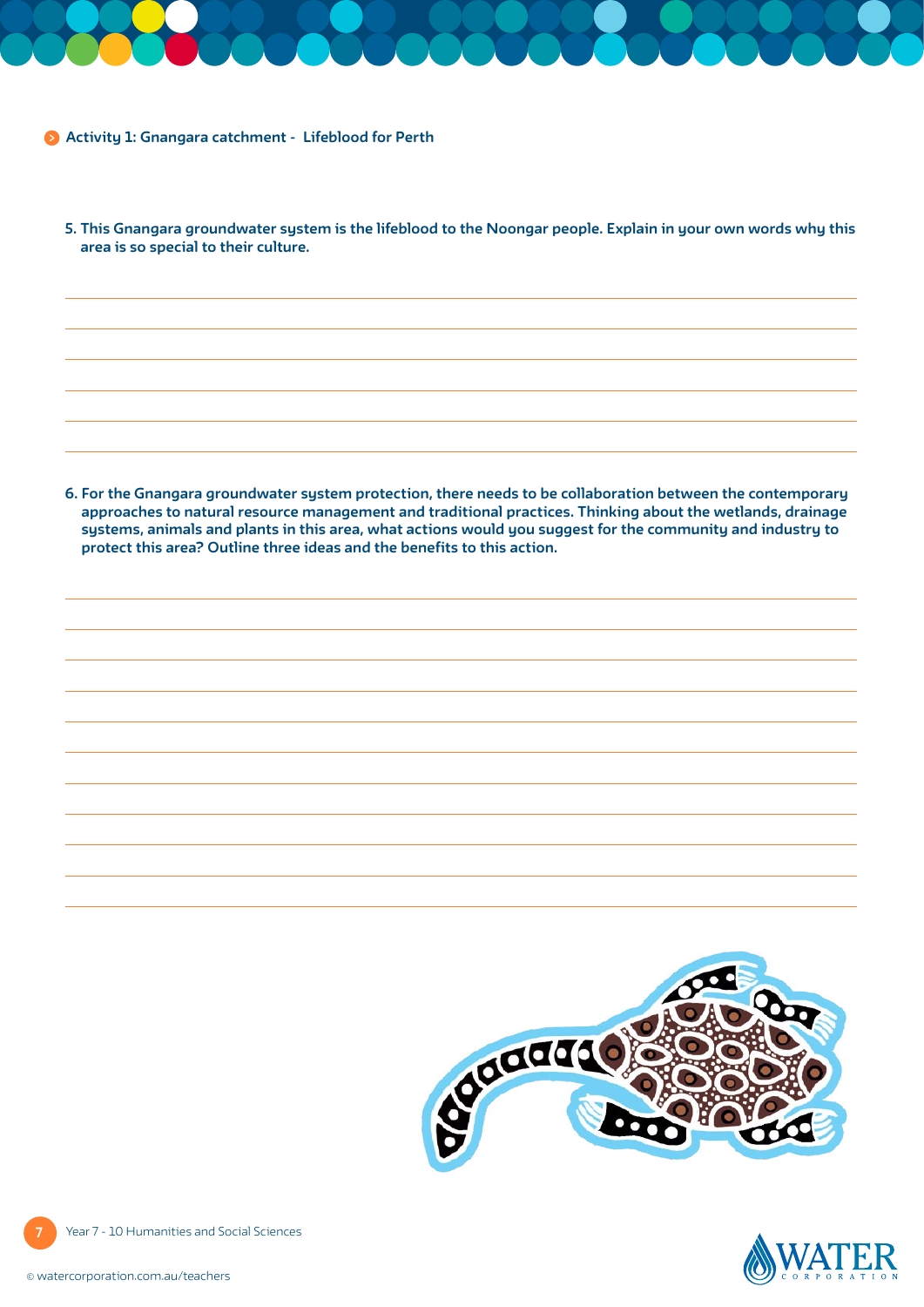**Activity 1: Gnangara catchment - Lifeblood for Perth**

**5. This Gnangara groundwater system is the lifeblood to the Noongar people. Explain in your own words why this area is so special to their culture.**

**6. For the Gnangara groundwater system protection, there needs to be collaboration between the contemporary approaches to natural resource management and traditional practices. Thinking about the wetlands, drainage systems, animals and plants in this area, what actions would you suggest for the community and industry to protect this area? Outline three ideas and the benefits to this action.**





**7** Year 7 - 10 Humanities and Social Sciences